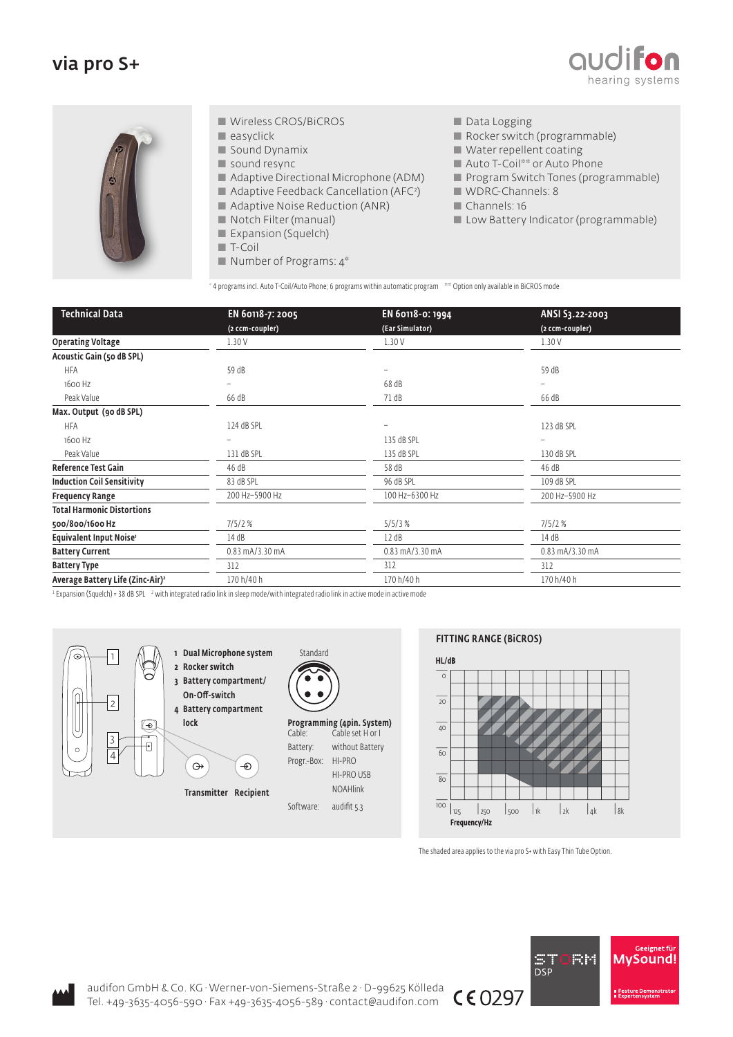## via pro S+





- Wireless CROS/BiCROS
- $\blacksquare$  easyclick
- Sound Dynamix
- sound resync
- Adaptive Directional Microphone (ADM)
- **Adaptive Feedback Cancellation (AFC**<sup>2</sup>)
- **Adaptive Noise Reduction (ANR)**
- Notch Filter (manual)
- Expansion (Squelch)
- T-Coil
- Number of Programs: 4\*
- Data Logging
- Rocker switch (programmable)
- Water repellent coating
- Auto T-Coil<sup>\*\*</sup> or Auto Phone
- **Program Switch Tones (programmable)**
- WDRC-Channels: 8
- Channels: 16
- **Low Battery Indicator (programmable)**

 $\,^*$  4 programs incl. Auto T-Coil/Auto Phone; 6 programs within automatic program  $\,$  \*\* Option only available in BiCROS mode

| <b>Technical Data</b>                        | EN 60118-7: 2005 | EN 60118-0: 1994  | ANSI S3.22-2003 |
|----------------------------------------------|------------------|-------------------|-----------------|
|                                              | (2 ccm-coupler)  | (Ear Simulator)   | (2 ccm-coupler) |
| <b>Operating Voltage</b>                     | 1.30V            | 1.30V             | 1.30V           |
| Acoustic Gain (50 dB SPL)                    |                  |                   |                 |
| <b>HFA</b>                                   | 59 dB            |                   | 59 dB           |
| 1600 Hz                                      |                  | 68 dB             |                 |
| Peak Value                                   | 66 dB            | 71 dB             | 66 dB           |
| Max. Output (90 dB SPL)                      |                  |                   |                 |
| <b>HFA</b>                                   | 124 dB SPL       |                   | 123 dB SPL      |
| 1600 Hz                                      |                  | 135 dB SPL        |                 |
| Peak Value                                   | 131 dB SPL       | 135 dB SPL        | 130 dB SPL      |
| <b>Reference Test Gain</b>                   | 46 dB            | 58 dB             | 46 dB           |
| <b>Induction Coil Sensitivity</b>            | 83 dB SPL        | 96 dB SPL         | 109 dB SPL      |
| <b>Frequency Range</b>                       | 200 Hz-5900 Hz   | 100 Hz-6300 Hz    | 200 Hz-5900 Hz  |
| <b>Total Harmonic Distortions</b>            |                  |                   |                 |
| 500/800/1600 Hz                              | 7/5/2%           | 5/5/3%            | 7/5/2%          |
| Equivalent Input Noise <sup>1</sup>          | 14 dB            | 12 dB             | 14 dB           |
| <b>Battery Current</b>                       | 0.83 mA/3.30 mA  | $0.83$ mA/3.30 mA | 0.83 mA/3.30 mA |
| <b>Battery Type</b>                          | 312              | 312               | 312             |
| Average Battery Life (Zinc-Air) <sup>2</sup> | 170 h/40 h       | 170 h/40 h        | 170 h/40 h      |

 $^1$  Expansion (Squelch) = 38 dB SPL  $\,$   $^2$  with integrated radio link in sleep mode/with integrated radio link in active mode in active mode



## FITTING RANGE (BiCROS)



The shaded area applies to the via pro S+ with Easy Thin Tube Option.